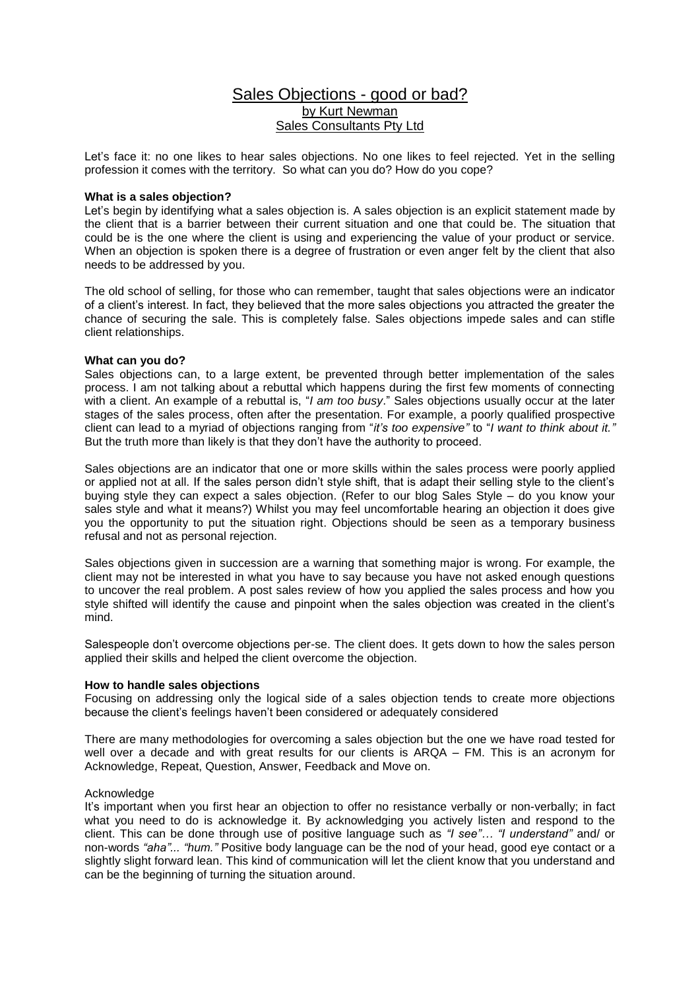# Sales Objections - good or bad? by Kurt Newman Sales Consultants Pty Ltd

Let's face it: no one likes to hear sales objections. No one likes to feel rejected. Yet in the selling profession it comes with the territory. So what can you do? How do you cope?

### **What is a sales objection?**

Let's begin by identifying what a sales objection is. A sales objection is an explicit statement made by the client that is a barrier between their current situation and one that could be. The situation that could be is the one where the client is using and experiencing the value of your product or service. When an objection is spoken there is a degree of frustration or even anger felt by the client that also needs to be addressed by you.

The old school of selling, for those who can remember, taught that sales objections were an indicator of a client's interest. In fact, they believed that the more sales objections you attracted the greater the chance of securing the sale. This is completely false. Sales objections impede sales and can stifle client relationships.

# **What can you do?**

Sales objections can, to a large extent, be prevented through better implementation of the sales process. I am not talking about a rebuttal which happens during the first few moments of connecting with a client. An example of a rebuttal is, "*I am too busy*." Sales objections usually occur at the later stages of the sales process, often after the presentation. For example, a poorly qualified prospective client can lead to a myriad of objections ranging from "*it's too expensive"* to "*I want to think about it."* But the truth more than likely is that they don't have the authority to proceed.

Sales objections are an indicator that one or more skills within the sales process were poorly applied or applied not at all. If the sales person didn't style shift, that is adapt their selling style to the client's buying style they can expect a sales objection. (Refer to our blog Sales Style – do you know your sales style and what it means?) Whilst you may feel uncomfortable hearing an objection it does give you the opportunity to put the situation right. Objections should be seen as a temporary business refusal and not as personal rejection.

Sales objections given in succession are a warning that something major is wrong. For example, the client may not be interested in what you have to say because you have not asked enough questions to uncover the real problem. A post sales review of how you applied the sales process and how you style shifted will identify the cause and pinpoint when the sales objection was created in the client's mind.

Salespeople don't overcome objections per-se. The client does. It gets down to how the sales person applied their skills and helped the client overcome the objection.

# **How to handle sales objections**

Focusing on addressing only the logical side of a sales objection tends to create more objections because the client's feelings haven't been considered or adequately considered

There are many methodologies for overcoming a sales objection but the one we have road tested for well over a decade and with great results for our clients is ARQA – FM. This is an acronym for Acknowledge, Repeat, Question, Answer, Feedback and Move on.

# Acknowledge

It's important when you first hear an objection to offer no resistance verbally or non-verbally; in fact what you need to do is acknowledge it. By acknowledging you actively listen and respond to the client. This can be done through use of positive language such as *"I see"… "I understand"* and/ or non-words *"aha"... "hum."* Positive body language can be the nod of your head, good eye contact or a slightly slight forward lean. This kind of communication will let the client know that you understand and can be the beginning of turning the situation around.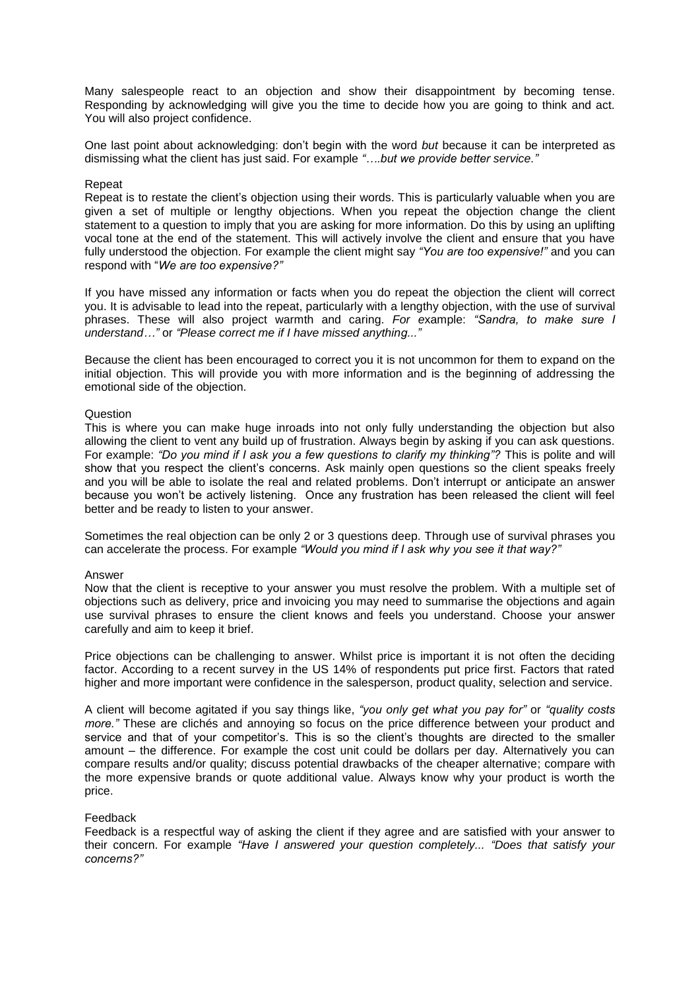Many salespeople react to an objection and show their disappointment by becoming tense. Responding by acknowledging will give you the time to decide how you are going to think and act. You will also project confidence.

One last point about acknowledging: don't begin with the word *but* because it can be interpreted as dismissing what the client has just said. For example *"….but we provide better service."*

### Repeat

Repeat is to restate the client's objection using their words. This is particularly valuable when you are given a set of multiple or lengthy objections. When you repeat the objection change the client statement to a question to imply that you are asking for more information. Do this by using an uplifting vocal tone at the end of the statement. This will actively involve the client and ensure that you have fully understood the objection. For example the client might say *"You are too expensive!"* and you can respond with "*We are too expensive?"*

If you have missed any information or facts when you do repeat the objection the client will correct you. It is advisable to lead into the repeat, particularly with a lengthy objection, with the use of survival phrases. These will also project warmth and caring. *For e*xample: *"Sandra, to make sure I understand…"* or *"Please correct me if I have missed anything..."*

Because the client has been encouraged to correct you it is not uncommon for them to expand on the initial objection. This will provide you with more information and is the beginning of addressing the emotional side of the objection.

#### Question

This is where you can make huge inroads into not only fully understanding the objection but also allowing the client to vent any build up of frustration. Always begin by asking if you can ask questions. For example: *"Do you mind if I ask you a few questions to clarify my thinking"?* This is polite and will show that you respect the client's concerns. Ask mainly open questions so the client speaks freely and you will be able to isolate the real and related problems. Don't interrupt or anticipate an answer because you won't be actively listening. Once any frustration has been released the client will feel better and be ready to listen to your answer.

Sometimes the real objection can be only 2 or 3 questions deep. Through use of survival phrases you can accelerate the process. For example *"Would you mind if I ask why you see it that way?"* 

#### Answer

Now that the client is receptive to your answer you must resolve the problem. With a multiple set of objections such as delivery, price and invoicing you may need to summarise the objections and again use survival phrases to ensure the client knows and feels you understand. Choose your answer carefully and aim to keep it brief.

Price objections can be challenging to answer. Whilst price is important it is not often the deciding factor. According to a recent survey in the US 14% of respondents put price first. Factors that rated higher and more important were confidence in the salesperson, product quality, selection and service.

A client will become agitated if you say things like, *"you only get what you pay for"* or *"quality costs more."* These are clichés and annoying so focus on the price difference between your product and service and that of your competitor's. This is so the client's thoughts are directed to the smaller amount – the difference. For example the cost unit could be dollars per day. Alternatively you can compare results and/or quality; discuss potential drawbacks of the cheaper alternative; compare with the more expensive brands or quote additional value. Always know why your product is worth the price.

# Feedback

Feedback is a respectful way of asking the client if they agree and are satisfied with your answer to their concern. For example *"Have I answered your question completely... "Does that satisfy your concerns?"*